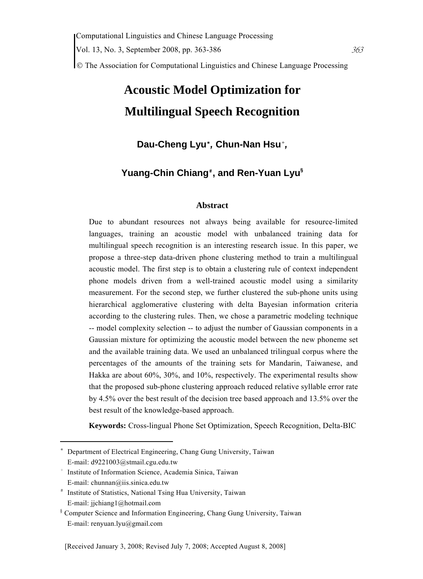© The Association for Computational Linguistics and Chinese Language Processing

# **Acoustic Model Optimization for Multilingual Speech Recognition**

# **Dau-Cheng Lyu**\* *,* **Chun-Nan Hsu**<sup>+</sup> *,*

## **Yuang-Chin Chiang**# **, and Ren-Yuan Lyu§**

#### **Abstract**

Due to abundant resources not always being available for resource-limited languages, training an acoustic model with unbalanced training data for multilingual speech recognition is an interesting research issue. In this paper, we propose a three-step data-driven phone clustering method to train a multilingual acoustic model. The first step is to obtain a clustering rule of context independent phone models driven from a well-trained acoustic model using a similarity measurement. For the second step, we further clustered the sub-phone units using hierarchical agglomerative clustering with delta Bayesian information criteria according to the clustering rules. Then, we chose a parametric modeling technique -- model complexity selection -- to adjust the number of Gaussian components in a Gaussian mixture for optimizing the acoustic model between the new phoneme set and the available training data. We used an unbalanced trilingual corpus where the percentages of the amounts of the training sets for Mandarin, Taiwanese, and Hakka are about 60%, 30%, and 10%, respectively. The experimental results show that the proposed sub-phone clustering approach reduced relative syllable error rate by 4.5% over the best result of the decision tree based approach and 13.5% over the best result of the knowledge-based approach.

**Keywords:** Cross-lingual Phone Set Optimization, Speech Recognition, Delta-BIC

<sup>\*</sup> Department of Electrical Engineering, Chang Gung University, Taiwan E-mail: d9221003@stmail.cgu.edu.tw

<sup>+</sup> Institute of Information Science, Academia Sinica, Taiwan E-mail: chunnan@iis.sinica.edu.tw

<sup>#</sup> Institute of Statistics, National Tsing Hua University, Taiwan E-mail: jjchiang1@hotmail.com

<sup>§</sup> Computer Science and Information Engineering, Chang Gung University, Taiwan E-mail: renyuan.lyu@gmail.com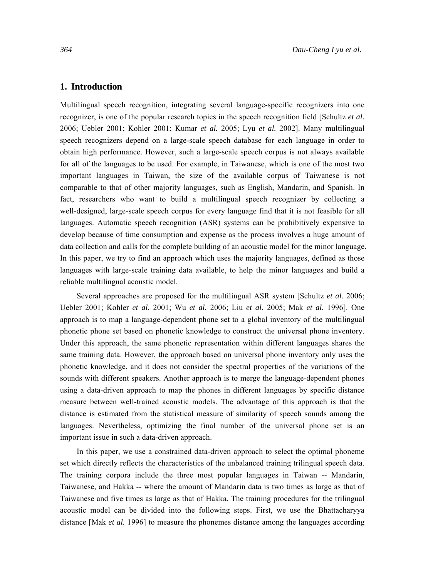#### **1. Introduction**

Multilingual speech recognition, integrating several language-specific recognizers into one recognizer, is one of the popular research topics in the speech recognition field [Schultz *et al.* 2006; Uebler 2001; Kohler 2001; Kumar *et al.* 2005; Lyu *et al.* 2002]. Many multilingual speech recognizers depend on a large-scale speech database for each language in order to obtain high performance. However, such a large-scale speech corpus is not always available for all of the languages to be used. For example, in Taiwanese, which is one of the most two important languages in Taiwan, the size of the available corpus of Taiwanese is not comparable to that of other majority languages, such as English, Mandarin, and Spanish. In fact, researchers who want to build a multilingual speech recognizer by collecting a well-designed, large-scale speech corpus for every language find that it is not feasible for all languages. Automatic speech recognition (ASR) systems can be prohibitively expensive to develop because of time consumption and expense as the process involves a huge amount of data collection and calls for the complete building of an acoustic model for the minor language. In this paper, we try to find an approach which uses the majority languages, defined as those languages with large-scale training data available, to help the minor languages and build a reliable multilingual acoustic model.

Several approaches are proposed for the multilingual ASR system [Schultz *et al.* 2006; Uebler 2001; Kohler *et al.* 2001; Wu *et al.* 2006; Liu *et al.* 2005; Mak *et al.* 1996]. One approach is to map a language-dependent phone set to a global inventory of the multilingual phonetic phone set based on phonetic knowledge to construct the universal phone inventory. Under this approach, the same phonetic representation within different languages shares the same training data. However, the approach based on universal phone inventory only uses the phonetic knowledge, and it does not consider the spectral properties of the variations of the sounds with different speakers. Another approach is to merge the language-dependent phones using a data-driven approach to map the phones in different languages by specific distance measure between well-trained acoustic models. The advantage of this approach is that the distance is estimated from the statistical measure of similarity of speech sounds among the languages. Nevertheless, optimizing the final number of the universal phone set is an important issue in such a data-driven approach.

In this paper, we use a constrained data-driven approach to select the optimal phoneme set which directly reflects the characteristics of the unbalanced training trilingual speech data. The training corpora include the three most popular languages in Taiwan -- Mandarin, Taiwanese, and Hakka -- where the amount of Mandarin data is two times as large as that of Taiwanese and five times as large as that of Hakka. The training procedures for the trilingual acoustic model can be divided into the following steps. First, we use the Bhattacharyya distance [Mak *et al.* 1996] to measure the phonemes distance among the languages according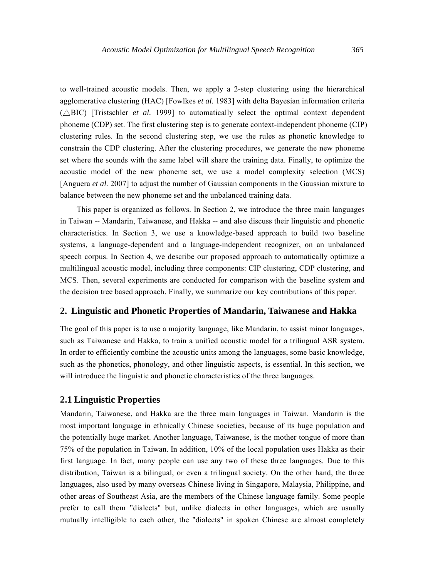to well-trained acoustic models. Then, we apply a 2-step clustering using the hierarchical agglomerative clustering (HAC) [Fowlkes *et al.* 1983] with delta Bayesian information criteria  $(\triangle BIC)$  [Tristschler *et al.* 1999] to automatically select the optimal context dependent phoneme (CDP) set. The first clustering step is to generate context-independent phoneme (CIP) clustering rules. In the second clustering step, we use the rules as phonetic knowledge to constrain the CDP clustering. After the clustering procedures, we generate the new phoneme set where the sounds with the same label will share the training data. Finally, to optimize the acoustic model of the new phoneme set, we use a model complexity selection (MCS) [Anguera *et al.* 2007] to adjust the number of Gaussian components in the Gaussian mixture to balance between the new phoneme set and the unbalanced training data.

This paper is organized as follows. In Section 2, we introduce the three main languages in Taiwan -- Mandarin, Taiwanese, and Hakka -- and also discuss their linguistic and phonetic characteristics. In Section 3, we use a knowledge-based approach to build two baseline systems, a language-dependent and a language-independent recognizer, on an unbalanced speech corpus. In Section 4, we describe our proposed approach to automatically optimize a multilingual acoustic model, including three components: CIP clustering, CDP clustering, and MCS. Then, several experiments are conducted for comparison with the baseline system and the decision tree based approach. Finally, we summarize our key contributions of this paper.

## **2. Linguistic and Phonetic Properties of Mandarin, Taiwanese and Hakka**

The goal of this paper is to use a majority language, like Mandarin, to assist minor languages, such as Taiwanese and Hakka, to train a unified acoustic model for a trilingual ASR system. In order to efficiently combine the acoustic units among the languages, some basic knowledge, such as the phonetics, phonology, and other linguistic aspects, is essential. In this section, we will introduce the linguistic and phonetic characteristics of the three languages.

#### **2.1 Linguistic Properties**

Mandarin, Taiwanese, and Hakka are the three main languages in Taiwan. Mandarin is the most important language in ethnically Chinese societies, because of its huge population and the potentially huge market. Another language, Taiwanese, is the mother tongue of more than 75% of the population in Taiwan. In addition, 10% of the local population uses Hakka as their first language. In fact, many people can use any two of these three languages. Due to this distribution, Taiwan is a bilingual, or even a trilingual society. On the other hand, the three languages, also used by many overseas Chinese living in Singapore, Malaysia, Philippine, and other areas of Southeast Asia, are the members of the Chinese language family. Some people prefer to call them "dialects" but, unlike dialects in other languages, which are usually mutually intelligible to each other, the "dialects" in spoken Chinese are almost completely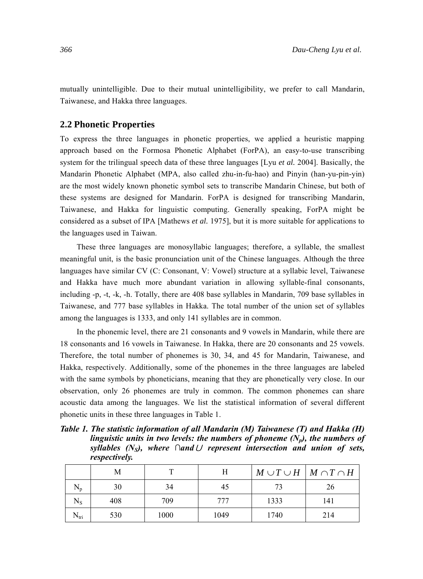mutually unintelligible. Due to their mutual unintelligibility, we prefer to call Mandarin, Taiwanese, and Hakka three languages.

#### **2.2 Phonetic Properties**

To express the three languages in phonetic properties, we applied a heuristic mapping approach based on the Formosa Phonetic Alphabet (ForPA), an easy-to-use transcribing system for the trilingual speech data of these three languages [Lyu *et al.* 2004]. Basically, the Mandarin Phonetic Alphabet (MPA, also called zhu-in-fu-hao) and Pinyin (han-yu-pin-yin) are the most widely known phonetic symbol sets to transcribe Mandarin Chinese, but both of these systems are designed for Mandarin. ForPA is designed for transcribing Mandarin, Taiwanese, and Hakka for linguistic computing. Generally speaking, ForPA might be considered as a subset of IPA [Mathews *et al.* 1975], but it is more suitable for applications to the languages used in Taiwan.

These three languages are monosyllabic languages; therefore, a syllable, the smallest meaningful unit, is the basic pronunciation unit of the Chinese languages. Although the three languages have similar CV (C: Consonant, V: Vowel) structure at a syllabic level, Taiwanese and Hakka have much more abundant variation in allowing syllable-final consonants, including -p, -t, -k, -h. Totally, there are 408 base syllables in Mandarin, 709 base syllables in Taiwanese, and 777 base syllables in Hakka. The total number of the union set of syllables among the languages is 1333, and only 141 syllables are in common.

In the phonemic level, there are 21 consonants and 9 vowels in Mandarin, while there are 18 consonants and 16 vowels in Taiwanese. In Hakka, there are 20 consonants and 25 vowels. Therefore, the total number of phonemes is 30, 34, and 45 for Mandarin, Taiwanese, and Hakka, respectively. Additionally, some of the phonemes in the three languages are labeled with the same symbols by phoneticians, meaning that they are phonetically very close. In our observation, only 26 phonemes are truly in common. The common phonemes can share acoustic data among the languages. We list the statistical information of several different phonetic units in these three languages in Table 1.

*Table 1. The statistic information of all Mandarin (M) Taiwanese (T) and Hakka (H) linguistic units in two levels: the numbers of phoneme*  $(N_p)$ *, the numbers of syllables (NS), where ∩and*∪ *represent intersection and union of sets, respectively.* 

|           | Μ   |      | Н    | $M \cup T \cup H \mid M \cap T \cap H$ |     |
|-----------|-----|------|------|----------------------------------------|-----|
| $\rm N_p$ | 30  | 34   | 45   | 73                                     | 26  |
| $\rm N_S$ | 408 | 709  | 777  | 1333                                   | 141 |
| $N_{tri}$ | 530 | 1000 | 1049 | 1740                                   | 214 |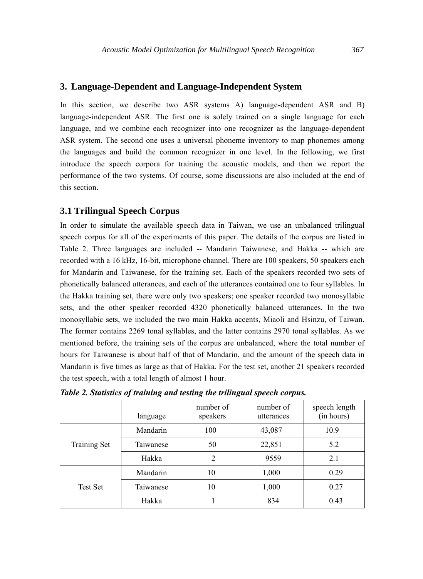#### **3. Language-Dependent and Language-Independent System**

In this section, we describe two ASR systems A) language-dependent ASR and B) language-independent ASR. The first one is solely trained on a single language for each language, and we combine each recognizer into one recognizer as the language-dependent ASR system. The second one uses a universal phoneme inventory to map phonemes among the languages and build the common recognizer in one level. In the following, we first introduce the speech corpora for training the acoustic models, and then we report the performance of the two systems. Of course, some discussions are also included at the end of this section.

#### **3.1 Trilingual Speech Corpus**

In order to simulate the available speech data in Taiwan, we use an unbalanced trilingual speech corpus for all of the experiments of this paper. The details of the corpus are listed in Table 2. Three languages are included -- Mandarin Taiwanese, and Hakka -- which are recorded with a 16 kHz, 16-bit, microphone channel. There are 100 speakers, 50 speakers each for Mandarin and Taiwanese, for the training set. Each of the speakers recorded two sets of phonetically balanced utterances, and each of the utterances contained one to four syllables. In the Hakka training set, there were only two speakers; one speaker recorded two monosyllabic sets, and the other speaker recorded 4320 phonetically balanced utterances. In the two monosyllabic sets, we included the two main Hakka accents, Miaoli and Hsinzu, of Taiwan. The former contains 2269 tonal syllables, and the latter contains 2970 tonal syllables. As we mentioned before, the training sets of the corpus are unbalanced, where the total number of hours for Taiwanese is about half of that of Mandarin, and the amount of the speech data in Mandarin is five times as large as that of Hakka. For the test set, another 21 speakers recorded the test speech, with a total length of almost 1 hour.

|                     | language  | number of<br>speakers | number of<br>utterances | speech length<br>(in hours) |
|---------------------|-----------|-----------------------|-------------------------|-----------------------------|
|                     | Mandarin  | 100                   | 43,087                  | 10.9                        |
| <b>Training Set</b> | Taiwanese | 50                    | 22,851                  | 5.2                         |
|                     | Hakka     | 2                     | 9559                    | 2.1                         |
|                     | Mandarin  | 10                    | 1,000                   | 0.29                        |
| <b>Test Set</b>     | Taiwanese | 10                    | 1,000                   | 0.27                        |
|                     | Hakka     |                       | 834                     | 0.43                        |

*Table 2. Statistics of training and testing the trilingual speech corpus.*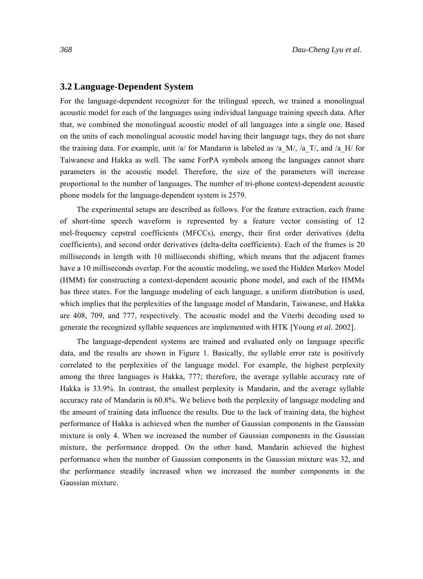#### **3.2 Language-Dependent System**

For the language-dependent recognizer for the trilingual speech, we trained a monolingual acoustic model for each of the languages using individual language training speech data. After that, we combined the monolingual acoustic model of all languages into a single one. Based on the units of each monolingual acoustic model having their language tags, they do not share the training data. For example, unit /a/ for Mandarin is labeled as /a\_M/, /a\_T/, and /a\_H/ for Taiwanese and Hakka as well. The same ForPA symbols among the languages cannot share parameters in the acoustic model. Therefore, the size of the parameters will increase proportional to the number of languages. The number of tri-phone context-dependent acoustic phone models for the language-dependent system is 2579.

The experimental setups are described as follows. For the feature extraction, each frame of short-time speech waveform is represented by a feature vector consisting of 12 mel-frequency cepstral coefficients (MFCCs), energy, their first order derivatives (delta coefficients), and second order derivatives (delta-delta coefficients). Each of the frames is 20 milliseconds in length with 10 milliseconds shifting, which means that the adjacent frames have a 10 milliseconds overlap. For the acoustic modeling, we used the Hidden Markov Model (HMM) for constructing a context-dependent acoustic phone model, and each of the HMMs has three states. For the language modeling of each language, a uniform distribution is used, which implies that the perplexities of the language model of Mandarin, Taiwanese, and Hakka are 408, 709, and 777, respectively. The acoustic model and the Viterbi decoding used to generate the recognized syllable sequences are implemented with HTK [Young *et al.* 2002].

The language-dependent systems are trained and evaluated only on language specific data, and the results are shown in Figure 1. Basically, the syllable error rate is positively correlated to the perplexities of the language model. For example, the highest perplexity among the three languages is Hakka, 777; therefore, the average syllable accuracy rate of Hakka is 33.9%. In contrast, the smallest perplexity is Mandarin, and the average syllable accuracy rate of Mandarin is 60.8%. We believe both the perplexity of language modeling and the amount of training data influence the results. Due to the lack of training data, the highest performance of Hakka is achieved when the number of Gaussian components in the Gaussian mixture is only 4. When we increased the number of Gaussian components in the Gaussian mixture, the performance dropped. On the other hand, Mandarin achieved the highest performance when the number of Gaussian components in the Gaussian mixture was 32, and the performance steadily increased when we increased the number components in the Gaussian mixture.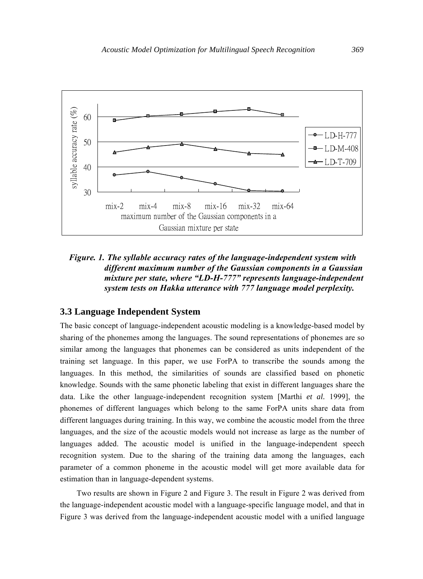

## *Figure. 1. The syllable accuracy rates of the language-independent system with different maximum number of the Gaussian components in a Gaussian mixture per state, where "LD-H-777" represents language-independent system tests on Hakka utterance with 777 language model perplexity.*

## **3.3 Language Independent System**

The basic concept of language-independent acoustic modeling is a knowledge-based model by sharing of the phonemes among the languages. The sound representations of phonemes are so similar among the languages that phonemes can be considered as units independent of the training set language. In this paper, we use ForPA to transcribe the sounds among the languages. In this method, the similarities of sounds are classified based on phonetic knowledge. Sounds with the same phonetic labeling that exist in different languages share the data. Like the other language-independent recognition system [Marthi *et al.* 1999], the phonemes of different languages which belong to the same ForPA units share data from different languages during training. In this way, we combine the acoustic model from the three languages, and the size of the acoustic models would not increase as large as the number of languages added. The acoustic model is unified in the language-independent speech recognition system. Due to the sharing of the training data among the languages, each parameter of a common phoneme in the acoustic model will get more available data for estimation than in language-dependent systems.

Two results are shown in Figure 2 and Figure 3. The result in Figure 2 was derived from the language-independent acoustic model with a language-specific language model, and that in Figure 3 was derived from the language-independent acoustic model with a unified language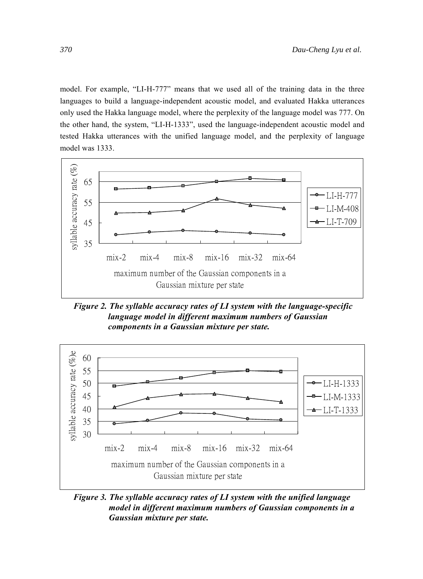model. For example, "LI-H-777" means that we used all of the training data in the three languages to build a language-independent acoustic model, and evaluated Hakka utterances only used the Hakka language model, where the perplexity of the language model was 777. On the other hand, the system, "LI-H-1333", used the language-independent acoustic model and tested Hakka utterances with the unified language model, and the perplexity of language model was 1333.



 *Figure 2. The syllable accuracy rates of LI system with the language-specific language model in different maximum numbers of Gaussian components in a Gaussian mixture per state.* 



*Figure 3. The syllable accuracy rates of LI system with the unified language model in different maximum numbers of Gaussian components in a Gaussian mixture per state.*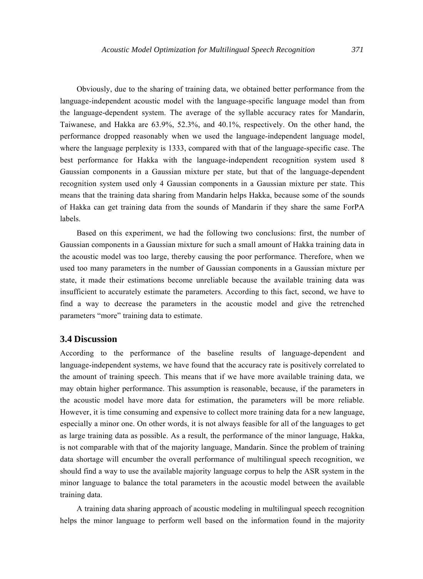Obviously, due to the sharing of training data, we obtained better performance from the language-independent acoustic model with the language-specific language model than from the language-dependent system. The average of the syllable accuracy rates for Mandarin, Taiwanese, and Hakka are 63.9%, 52.3%, and 40.1%, respectively. On the other hand, the performance dropped reasonably when we used the language-independent language model, where the language perplexity is 1333, compared with that of the language-specific case. The best performance for Hakka with the language-independent recognition system used 8 Gaussian components in a Gaussian mixture per state, but that of the language-dependent recognition system used only 4 Gaussian components in a Gaussian mixture per state. This means that the training data sharing from Mandarin helps Hakka, because some of the sounds of Hakka can get training data from the sounds of Mandarin if they share the same ForPA labels.

Based on this experiment, we had the following two conclusions: first, the number of Gaussian components in a Gaussian mixture for such a small amount of Hakka training data in the acoustic model was too large, thereby causing the poor performance. Therefore, when we used too many parameters in the number of Gaussian components in a Gaussian mixture per state, it made their estimations become unreliable because the available training data was insufficient to accurately estimate the parameters. According to this fact, second, we have to find a way to decrease the parameters in the acoustic model and give the retrenched parameters "more" training data to estimate.

#### **3.4 Discussion**

According to the performance of the baseline results of language-dependent and language-independent systems, we have found that the accuracy rate is positively correlated to the amount of training speech. This means that if we have more available training data, we may obtain higher performance. This assumption is reasonable, because, if the parameters in the acoustic model have more data for estimation, the parameters will be more reliable. However, it is time consuming and expensive to collect more training data for a new language, especially a minor one. On other words, it is not always feasible for all of the languages to get as large training data as possible. As a result, the performance of the minor language, Hakka, is not comparable with that of the majority language, Mandarin. Since the problem of training data shortage will encumber the overall performance of multilingual speech recognition, we should find a way to use the available majority language corpus to help the ASR system in the minor language to balance the total parameters in the acoustic model between the available training data.

A training data sharing approach of acoustic modeling in multilingual speech recognition helps the minor language to perform well based on the information found in the majority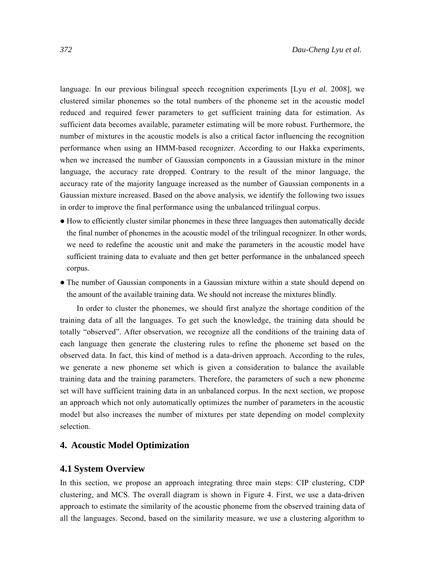language. In our previous bilingual speech recognition experiments [Lyu *et al.* 2008], we clustered similar phonemes so the total numbers of the phoneme set in the acoustic model reduced and required fewer parameters to get sufficient training data for estimation. As sufficient data becomes available, parameter estimating will be more robust. Furthermore, the number of mixtures in the acoustic models is also a critical factor influencing the recognition performance when using an HMM-based recognizer. According to our Hakka experiments, when we increased the number of Gaussian components in a Gaussian mixture in the minor language, the accuracy rate dropped. Contrary to the result of the minor language, the accuracy rate of the majority language increased as the number of Gaussian components in a Gaussian mixture increased. Based on the above analysis, we identify the following two issues in order to improve the final performance using the unbalanced trilingual corpus.

- How to efficiently cluster similar phonemes in these three languages then automatically decide the final number of phonemes in the acoustic model of the trilingual recognizer. In other words, we need to redefine the acoustic unit and make the parameters in the acoustic model have sufficient training data to evaluate and then get better performance in the unbalanced speech corpus.
- The number of Gaussian components in a Gaussian mixture within a state should depend on the amount of the available training data. We should not increase the mixtures blindly.

In order to cluster the phonemes, we should first analyze the shortage condition of the training data of all the languages. To get such the knowledge, the training data should be totally "observed". After observation, we recognize all the conditions of the training data of each language then generate the clustering rules to refine the phoneme set based on the observed data. In fact, this kind of method is a data-driven approach. According to the rules, we generate a new phoneme set which is given a consideration to balance the available training data and the training parameters. Therefore, the parameters of such a new phoneme set will have sufficient training data in an unbalanced corpus. In the next section, we propose an approach which not only automatically optimizes the number of parameters in the acoustic model but also increases the number of mixtures per state depending on model complexity selection.

## **4. Acoustic Model Optimization**

#### **4.1 System Overview**

In this section, we propose an approach integrating three main steps: CIP clustering, CDP clustering, and MCS. The overall diagram is shown in Figure 4. First, we use a data-driven approach to estimate the similarity of the acoustic phoneme from the observed training data of all the languages. Second, based on the similarity measure, we use a clustering algorithm to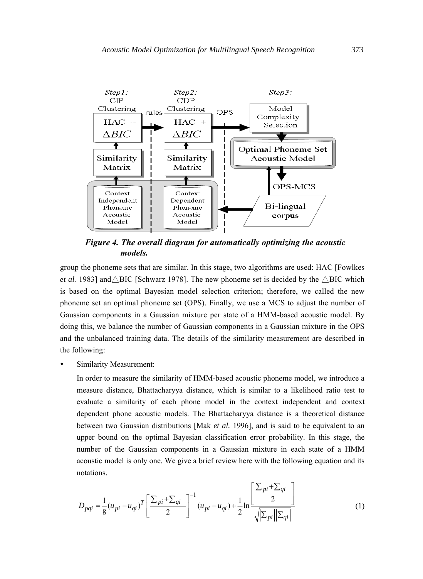

*Figure 4. The overall diagram for automatically optimizing the acoustic models.* 

group the phoneme sets that are similar. In this stage, two algorithms are used: HAC [Fowlkes *et al.* 1983] and $\triangle$ BIC [Schwarz 1978]. The new phoneme set is decided by the  $\triangle$ BIC which is based on the optimal Bayesian model selection criterion; therefore, we called the new phoneme set an optimal phoneme set (OPS). Finally, we use a MCS to adjust the number of Gaussian components in a Gaussian mixture per state of a HMM-based acoustic model. By doing this, we balance the number of Gaussian components in a Gaussian mixture in the OPS and the unbalanced training data. The details of the similarity measurement are described in the following:

Similarity Measurement:

In order to measure the similarity of HMM-based acoustic phoneme model, we introduce a measure distance, Bhattacharyya distance, which is similar to a likelihood ratio test to evaluate a similarity of each phone model in the context independent and context dependent phone acoustic models. The Bhattacharyya distance is a theoretical distance between two Gaussian distributions [Mak *et al.* 1996], and is said to be equivalent to an upper bound on the optimal Bayesian classification error probability. In this stage, the number of the Gaussian components in a Gaussian mixture in each state of a HMM acoustic model is only one. We give a brief review here with the following equation and its notations.

$$
D_{pqi} = \frac{1}{8} (u_{pi} - u_{qi})^T \left[ \frac{\sum_{pi} + \sum_{qi}}{2} \right]^{-1} (u_{pi} - u_{qi}) + \frac{1}{2} \ln \left[ \frac{\sum_{pi} + \sum_{qi}}{2} \right]
$$
(1)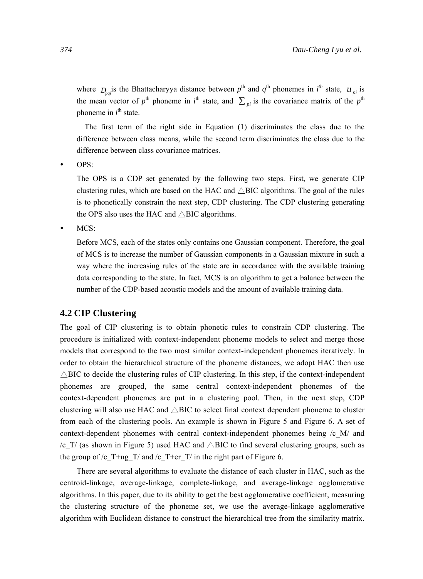where  $D_{pqi}$  is the Bhattacharyya distance between  $p^{\text{th}}$  and  $q^{\text{th}}$  phonemes in  $i^{\text{th}}$  state,  $u_{pi}$  is the mean vector of  $p^{\text{th}}$  phoneme in  $i^{\text{th}}$  state, and  $\sum_{pi}$  is the covariance matrix of the  $p^{\text{th}}$ phoneme in  $i^{\text{th}}$  state.

The first term of the right side in Equation (1) discriminates the class due to the difference between class means, while the second term discriminates the class due to the difference between class covariance matrices.

 $\bullet$  OPS:

The OPS is a CDP set generated by the following two steps. First, we generate CIP clustering rules, which are based on the HAC and  $\triangle$ BIC algorithms. The goal of the rules is to phonetically constrain the next step, CDP clustering. The CDP clustering generating the OPS also uses the HAC and  $\triangle$ BIC algorithms.

 $\bullet$  MCS:

Before MCS, each of the states only contains one Gaussian component. Therefore, the goal of MCS is to increase the number of Gaussian components in a Gaussian mixture in such a way where the increasing rules of the state are in accordance with the available training data corresponding to the state. In fact, MCS is an algorithm to get a balance between the number of the CDP-based acoustic models and the amount of available training data.

## **4.2 CIP Clustering**

The goal of CIP clustering is to obtain phonetic rules to constrain CDP clustering. The procedure is initialized with context-independent phoneme models to select and merge those models that correspond to the two most similar context-independent phonemes iteratively. In order to obtain the hierarchical structure of the phoneme distances, we adopt HAC then use  $\triangle$ BIC to decide the clustering rules of CIP clustering. In this step, if the context-independent phonemes are grouped, the same central context-independent phonemes of the context-dependent phonemes are put in a clustering pool. Then, in the next step, CDP clustering will also use HAC and  $\triangle$ BIC to select final context dependent phoneme to cluster from each of the clustering pools. An example is shown in Figure 5 and Figure 6. A set of context-dependent phonemes with central context-independent phonemes being /c\_M/ and /c\_T/ (as shown in Figure 5) used HAC and  $\triangle$ BIC to find several clustering groups, such as the group of /c  $T+ng/T/$  and /c  $T+er/T/$  in the right part of Figure 6.

There are several algorithms to evaluate the distance of each cluster in HAC, such as the centroid-linkage, average-linkage, complete-linkage, and average-linkage agglomerative algorithms. In this paper, due to its ability to get the best agglomerative coefficient, measuring the clustering structure of the phoneme set, we use the average-linkage agglomerative algorithm with Euclidean distance to construct the hierarchical tree from the similarity matrix.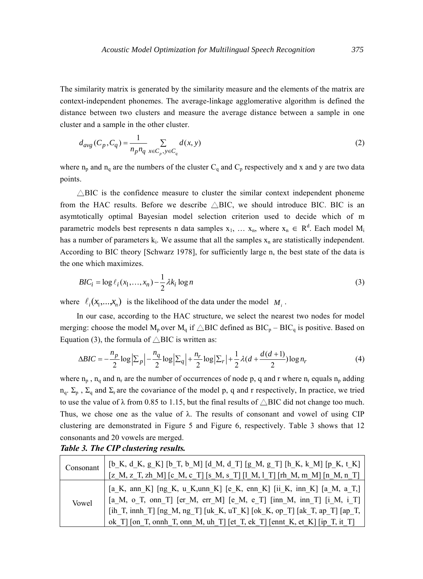The similarity matrix is generated by the similarity measure and the elements of the matrix are context-independent phonemes. The average-linkage agglomerative algorithm is defined the distance between two clusters and measure the average distance between a sample in one cluster and a sample in the other cluster.

$$
d_{avg}(C_p, C_q) = \frac{1}{n_p n_q} \sum_{x \in C_p, y \in C_q} d(x, y)
$$
\n
$$
(2)
$$

where  $n_p$  and  $n_q$  are the numbers of the cluster  $C_q$  and  $C_p$  respectively and x and y are two data points.

 $\triangle$ BIC is the confidence measure to cluster the similar context independent phoneme from the HAC results. Before we describe  $\triangle$ BIC, we should introduce BIC. BIC is an asymtotically optimal Bayesian model selection criterion used to decide which of m parametric models best represents n data samples  $x_1, \ldots, x_n$ , where  $x_n \in R^d$ . Each model  $M_i$ has a number of parameters  $k_i$ . We assume that all the samples  $x_n$  are statistically independent. According to BIC theory [Schwarz 1978], for sufficiently large n, the best state of the data is the one which maximizes.

$$
BIC_i = \log \ell_i(x_1, \dots, x_n) - \frac{1}{2} \lambda k_i \log n \tag{3}
$$

where  $\ell_i(x_1, \ldots, x_n)$  is the likelihood of the data under the model  $M_i$ .

In our case, according to the HAC structure, we select the nearest two nodes for model merging: choose the model  $M_p$  over  $M_q$  if  $\triangle$ BIC defined as BIC<sub>p</sub> – BIC<sub>q</sub> is positive. Based on Equation (3), the formula of  $\triangle$ BIC is written as:

$$
\Delta BIC = -\frac{n_p}{2} \log \left| \sum_p \left| -\frac{n_q}{2} \log \left| \sum_q \right| + \frac{n_r}{2} \log \left| \sum_r \right| + \frac{1}{2} \lambda (d + \frac{d(d+1)}{2}) \log n_r \right| \tag{4}
$$

where  $n_p$ ,  $n_q$  and  $n_r$  are the number of occurrences of node p, q and r where  $n_r$  equals  $n_p$  adding  $n_q$ .  $\Sigma_p$ ,  $\Sigma_q$  and  $\Sigma_r$  are the covariance of the model p, q and r respectively, In practice, we tried to use the value of  $\lambda$  from 0.85 to 1.15, but the final results of  $\triangle$ BIC did not change too much. Thus, we chose one as the value of  $\lambda$ . The results of consonant and vowel of using CIP clustering are demonstrated in Figure 5 and Figure 6, respectively. Table 3 shows that 12 consonants and 20 vowels are merged.

| Consonant | [b_K, d_K, g_K] [b_T, b_M] [d_M, d_T] [g_M, g_T] [h_K, k_M] [p_K, t_K]  <br>$[z_M, z_T, zh_M]$ [c_M, c_T] [s_M, s_T] [l_M, l_T] [rh_M, m_M] [n_M, n_T]                                                                                                                                                               |
|-----------|----------------------------------------------------------------------------------------------------------------------------------------------------------------------------------------------------------------------------------------------------------------------------------------------------------------------|
| Vowel     | [a_K, ann_K] [ng_K, u_K, unn_K] [e_K, enn_K] [ii_K, inn_K] [a_M, a_T,]  <br>$[a_M, o_T, o_{M_T}]$ [er_M, err_M] [e_M, e_T] [inn_M, inn_T] [i_M, i_T]  <br>[ih T, innh T] [ng_M, ng_T] [uk_K, uT_K] [ok_K, op_T] [ak_T, ap_T] [ap_T,<br>$ok_T$ ] [on_T, onnh_T, onn_M, uh_T] [et_T, ek_T] [ennt_K, et_K] [ip_T, it_T] |

*Table 3. The CIP clustering results.*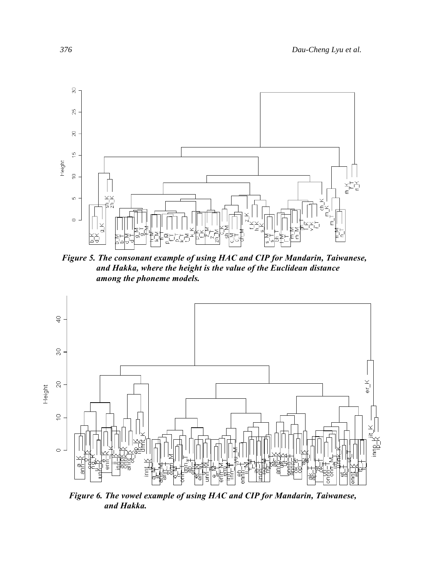

*Figure 5. The consonant example of using HAC and CIP for Mandarin, Taiwanese, and Hakka, where the height is the value of the Euclidean distance among the phoneme models.* 



*Figure 6. The vowel example of using HAC and CIP for Mandarin, Taiwanese, and Hakka.*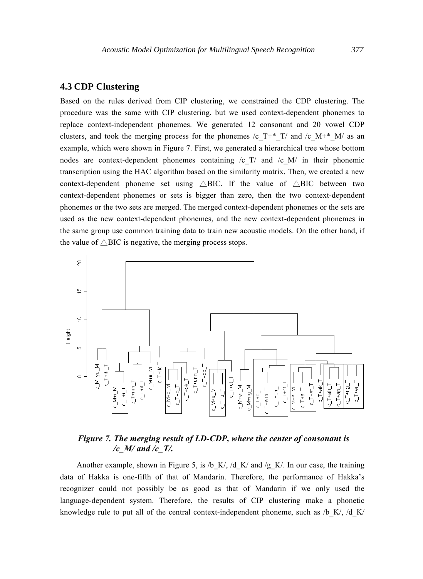## **4.3 CDP Clustering**

Based on the rules derived from CIP clustering, we constrained the CDP clustering. The procedure was the same with CIP clustering, but we used context-dependent phonemes to replace context-independent phonemes. We generated 12 consonant and 20 vowel CDP clusters, and took the merging process for the phonemes /c\_T+\* T/ and /c\_M+\* M/ as an example, which were shown in Figure 7. First, we generated a hierarchical tree whose bottom nodes are context-dependent phonemes containing  $\sqrt{c}$  T/ and  $\sqrt{c}$  M/ in their phonemic transcription using the HAC algorithm based on the similarity matrix. Then, we created a new context-dependent phoneme set using  $\triangle BIC$ . If the value of  $\triangle BIC$  between two context-dependent phonemes or sets is bigger than zero, then the two context-dependent phonemes or the two sets are merged. The merged context-dependent phonemes or the sets are used as the new context-dependent phonemes, and the new context-dependent phonemes in the same group use common training data to train new acoustic models. On the other hand, if the value of  $\triangle$ BIC is negative, the merging process stops.



## *Figure 7. The merging result of LD-CDP, where the center of consonant is /c\_M/ and /c\_T/.*

Another example, shown in Figure 5, is /b\_K/, /d\_K/ and /g\_K/. In our case, the training data of Hakka is one-fifth of that of Mandarin. Therefore, the performance of Hakka's recognizer could not possibly be as good as that of Mandarin if we only used the language-dependent system. Therefore, the results of CIP clustering make a phonetic knowledge rule to put all of the central context-independent phoneme, such as  $/b$  K/,  $/d$  K/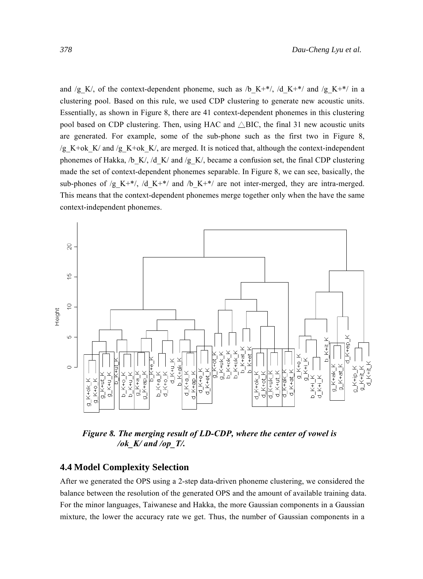and /g\_K/, of the context-dependent phoneme, such as /b\_K+\*/, /d\_K+\*/ and /g\_K+\*/ in a clustering pool. Based on this rule, we used CDP clustering to generate new acoustic units. Essentially, as shown in Figure 8, there are 41 context-dependent phonemes in this clustering pool based on CDP clustering. Then, using HAC and  $\triangle$ BIC, the final 31 new acoustic units are generated. For example, some of the sub-phone such as the first two in Figure 8, /g\_K+ok\_K/ and /g\_K+ok\_K/, are merged. It is noticed that, although the context-independent phonemes of Hakka, /b\_K/, /d\_K/ and /g\_K/, became a confusion set, the final CDP clustering made the set of context-dependent phonemes separable. In Figure 8, we can see, basically, the sub-phones of /g\_K+\*/, /d\_K+\*/ and /b\_K+\*/ are not inter-merged, they are intra-merged. This means that the context-dependent phonemes merge together only when the have the same context-independent phonemes.



*Figure 8. The merging result of LD-CDP, where the center of vowel is /ok\_K/ and /op\_T/.* 

#### **4.4 Model Complexity Selection**

After we generated the OPS using a 2-step data-driven phoneme clustering, we considered the balance between the resolution of the generated OPS and the amount of available training data. For the minor languages, Taiwanese and Hakka, the more Gaussian components in a Gaussian mixture, the lower the accuracy rate we get. Thus, the number of Gaussian components in a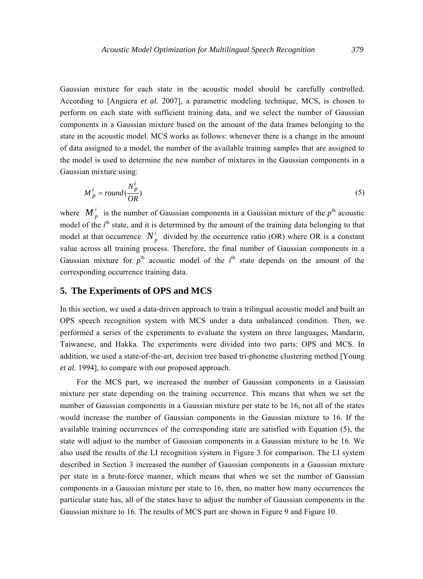Gaussian mixture for each state in the acoustic model should be carefully controlled. According to [Anguera *et al.* 2007], a parametric modeling technique, MCS, is chosen to perform on each state with sufficient training data, and we select the number of Gaussian components in a Gaussian mixture based on the amount of the data frames belonging to the state in the acoustic model. MCS works as follows: whenever there is a change in the amount of data assigned to a model, the number of the available training samples that are assigned to the model is used to determine the new number of mixtures in the Gaussian components in a Gaussian mixture using:

$$
M_p^i = round(\frac{N_p^i}{OR})
$$
\n(5)

where  $M_p^i$  is the number of Gaussian components in a Gaussian mixture of the  $p^{\text{th}}$  acoustic model of the *i*<sup>th</sup> state, and it is determined by the amount of the training data belonging to that model at that occurrence  $N_{n}^{i}$  divided by the occurrence ratio (OR) where OR is a constant value across all training process. Therefore, the final number of Gaussian components in a Gaussian mixture for  $p^{\text{th}}$  acoustic model of the  $i^{\text{th}}$  state depends on the amount of the corresponding occurrence training data.

#### **5. The Experiments of OPS and MCS**

In this section, we used a data-driven approach to train a trilingual acoustic model and built an OPS speech recognition system with MCS under a data unbalanced condition. Then, we performed a series of the experiments to evaluate the system on three languages, Mandarin, Taiwanese, and Hakka. The experiments were divided into two parts: OPS and MCS. In addition, we used a state-of-the-art, decision tree based tri-phoneme clustering method [Young *et al.* 1994], to compare with our proposed approach.

For the MCS part, we increased the number of Gaussian components in a Gaussian mixture per state depending on the training occurrence. This means that when we set the number of Gaussian components in a Gaussian mixture per state to be 16, not all of the states would increase the number of Gaussian components in the Gaussian mixture to 16. If the available training occurrences of the corresponding state are satisfied with Equation (5), the state will adjust to the number of Gaussian components in a Gaussian mixture to be 16. We also used the results of the LI recognition system in Figure 3 for comparison. The LI system described in Section 3 increased the number of Gaussian components in a Gaussian mixture per state in a brute-force manner, which means that when we set the number of Gaussian components in a Gaussian mixture per state to 16, then, no matter how many occurrences the particular state has, all of the states have to adjust the number of Gaussian components in the Gaussian mixture to 16. The results of MCS part are shown in Figure 9 and Figure 10.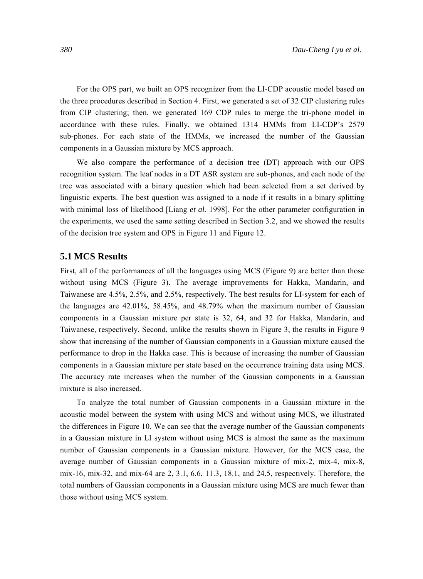For the OPS part, we built an OPS recognizer from the LI-CDP acoustic model based on the three procedures described in Section 4. First, we generated a set of 32 CIP clustering rules from CIP clustering; then, we generated 169 CDP rules to merge the tri-phone model in accordance with these rules. Finally, we obtained 1314 HMMs from LI-CDP's 2579 sub-phones. For each state of the HMMs, we increased the number of the Gaussian components in a Gaussian mixture by MCS approach.

We also compare the performance of a decision tree (DT) approach with our OPS recognition system. The leaf nodes in a DT ASR system are sub-phones, and each node of the tree was associated with a binary question which had been selected from a set derived by linguistic experts. The best question was assigned to a node if it results in a binary splitting with minimal loss of likelihood [Liang *et al.* 1998]. For the other parameter configuration in the experiments, we used the same setting described in Section 3.2, and we showed the results of the decision tree system and OPS in Figure 11 and Figure 12.

#### **5.1 MCS Results**

First, all of the performances of all the languages using MCS (Figure 9) are better than those without using MCS (Figure 3). The average improvements for Hakka, Mandarin, and Taiwanese are 4.5%, 2.5%, and 2.5%, respectively. The best results for LI-system for each of the languages are 42.01%, 58.45%, and 48.79% when the maximum number of Gaussian components in a Gaussian mixture per state is 32, 64, and 32 for Hakka, Mandarin, and Taiwanese, respectively. Second, unlike the results shown in Figure 3, the results in Figure 9 show that increasing of the number of Gaussian components in a Gaussian mixture caused the performance to drop in the Hakka case. This is because of increasing the number of Gaussian components in a Gaussian mixture per state based on the occurrence training data using MCS. The accuracy rate increases when the number of the Gaussian components in a Gaussian mixture is also increased.

To analyze the total number of Gaussian components in a Gaussian mixture in the acoustic model between the system with using MCS and without using MCS, we illustrated the differences in Figure 10. We can see that the average number of the Gaussian components in a Gaussian mixture in LI system without using MCS is almost the same as the maximum number of Gaussian components in a Gaussian mixture. However, for the MCS case, the average number of Gaussian components in a Gaussian mixture of mix-2, mix-4, mix-8, mix-16, mix-32, and mix-64 are 2, 3.1, 6.6, 11.3, 18.1, and 24.5, respectively. Therefore, the total numbers of Gaussian components in a Gaussian mixture using MCS are much fewer than those without using MCS system.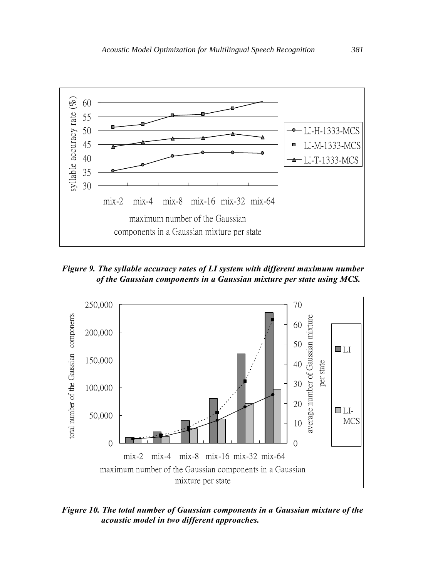

*Figure 9. The syllable accuracy rates of LI system with different maximum number of the Gaussian components in a Gaussian mixture per state using MCS.* 



*Figure 10. The total number of Gaussian components in a Gaussian mixture of the acoustic model in two different approaches.*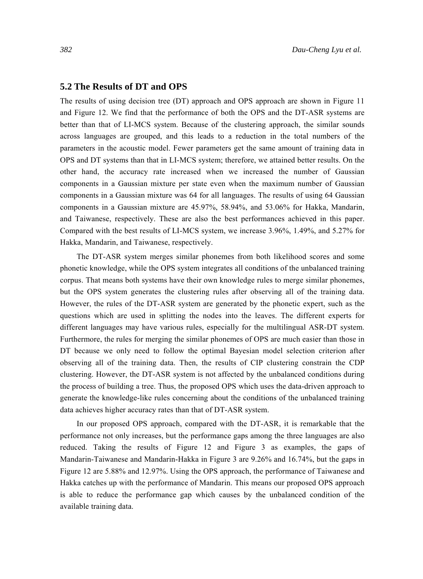#### **5.2 The Results of DT and OPS**

The results of using decision tree (DT) approach and OPS approach are shown in Figure 11 and Figure 12. We find that the performance of both the OPS and the DT-ASR systems are better than that of LI-MCS system. Because of the clustering approach, the similar sounds across languages are grouped, and this leads to a reduction in the total numbers of the parameters in the acoustic model. Fewer parameters get the same amount of training data in OPS and DT systems than that in LI-MCS system; therefore, we attained better results. On the other hand, the accuracy rate increased when we increased the number of Gaussian components in a Gaussian mixture per state even when the maximum number of Gaussian components in a Gaussian mixture was 64 for all languages. The results of using 64 Gaussian components in a Gaussian mixture are 45.97%, 58.94%, and 53.06% for Hakka, Mandarin, and Taiwanese, respectively. These are also the best performances achieved in this paper. Compared with the best results of LI-MCS system, we increase 3.96%, 1.49%, and 5.27% for Hakka, Mandarin, and Taiwanese, respectively.

The DT-ASR system merges similar phonemes from both likelihood scores and some phonetic knowledge, while the OPS system integrates all conditions of the unbalanced training corpus. That means both systems have their own knowledge rules to merge similar phonemes, but the OPS system generates the clustering rules after observing all of the training data. However, the rules of the DT-ASR system are generated by the phonetic expert, such as the questions which are used in splitting the nodes into the leaves. The different experts for different languages may have various rules, especially for the multilingual ASR-DT system. Furthermore, the rules for merging the similar phonemes of OPS are much easier than those in DT because we only need to follow the optimal Bayesian model selection criterion after observing all of the training data. Then, the results of CIP clustering constrain the CDP clustering. However, the DT-ASR system is not affected by the unbalanced conditions during the process of building a tree. Thus, the proposed OPS which uses the data-driven approach to generate the knowledge-like rules concerning about the conditions of the unbalanced training data achieves higher accuracy rates than that of DT-ASR system.

In our proposed OPS approach, compared with the DT-ASR, it is remarkable that the performance not only increases, but the performance gaps among the three languages are also reduced. Taking the results of Figure 12 and Figure 3 as examples, the gaps of Mandarin-Taiwanese and Mandarin-Hakka in Figure 3 are 9.26% and 16.74%, but the gaps in Figure 12 are 5.88% and 12.97%. Using the OPS approach, the performance of Taiwanese and Hakka catches up with the performance of Mandarin. This means our proposed OPS approach is able to reduce the performance gap which causes by the unbalanced condition of the available training data.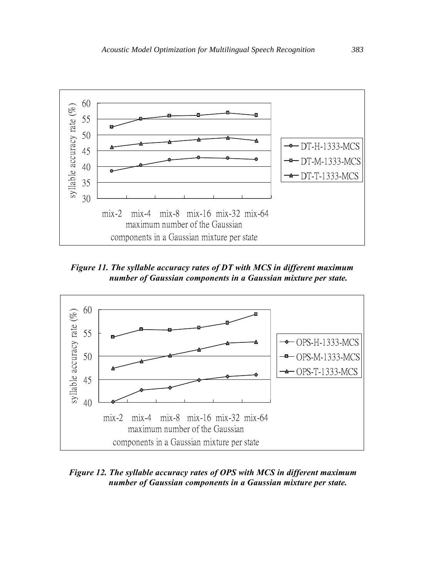

*Figure 11. The syllable accuracy rates of DT with MCS in different maximum number of Gaussian components in a Gaussian mixture per state.* 



*Figure 12. The syllable accuracy rates of OPS with MCS in different maximum number of Gaussian components in a Gaussian mixture per state.*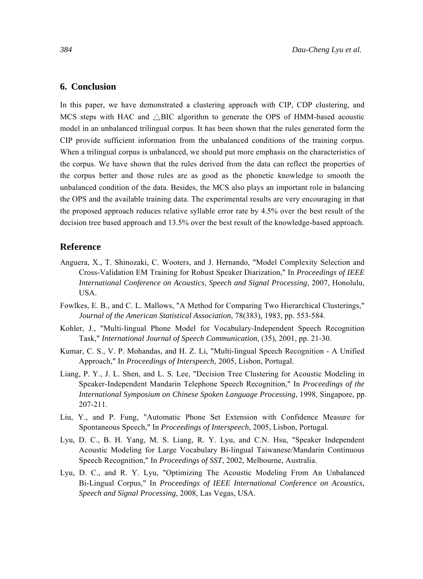#### **6. Conclusion**

In this paper, we have demonstrated a clustering approach with CIP, CDP clustering, and MCS steps with HAC and  $\triangle$ BIC algorithm to generate the OPS of HMM-based acoustic model in an unbalanced trilingual corpus. It has been shown that the rules generated form the CIP provide sufficient information from the unbalanced conditions of the training corpus. When a trilingual corpus is unbalanced, we should put more emphasis on the characteristics of the corpus. We have shown that the rules derived from the data can reflect the properties of the corpus better and those rules are as good as the phonetic knowledge to smooth the unbalanced condition of the data. Besides, the MCS also plays an important role in balancing the OPS and the available training data. The experimental results are very encouraging in that the proposed approach reduces relative syllable error rate by 4.5% over the best result of the decision tree based approach and 13.5% over the best result of the knowledge-based approach.

#### **Reference**

- Anguera, X., T. Shinozaki, C. Wooters, and J. Hernando, "Model Complexity Selection and Cross-Validation EM Training for Robust Speaker Diarization," In *Proceedings of IEEE International Conference on Acoustics, Speech and Signal Processing,* 2007, Honolulu, USA.
- Fowlkes, E. B., and C. L. Mallows, "A Method for Comparing Two Hierarchical Clusterings," *Journal of the American Statistical Association*, 78(383), 1983, pp. 553-584.
- Kohler, J., "Multi-lingual Phone Model for Vocabulary-Independent Speech Recognition Task," *International Journal of Speech Communication*, (35), 2001, pp. 21-30.
- Kumar, C. S., V. P. Mohandas, and H. Z. Li, "Multi-lingual Speech Recognition A Unified Approach," In *Proceedings of Interspeech*, 2005, Lisbon, Portugal.
- Liang, P. Y., J. L. Shen, and L. S. Lee, "Decision Tree Clustering for Acoustic Modeling in Speaker-Independent Mandarin Telephone Speech Recognition," In *Proceedings of the International Symposium on Chinese Spoken Language Processing*, 1998, Singapore, pp. 207-211.
- Liu, Y., and P. Fung, "Automatic Phone Set Extension with Confidence Measure for Spontaneous Speech," In *Proceedings of Interspeech*, 2005, Lisbon, Portugal.
- Lyu, D. C., B. H. Yang, M. S. Liang, R. Y. Lyu, and C.N. Hsu, "Speaker Independent Acoustic Modeling for Large Vocabulary Bi-lingual Taiwanese/Mandarin Continuous Speech Recognition," In *Proceedings of SST*, 2002, Melbourne, Australia.
- Lyu, D. C., and R. Y. Lyu, "Optimizing The Acoustic Modeling From An Unbalanced Bi-Lingual Corpus," In *Proceedings of IEEE International Conference on Acoustics, Speech and Signal Processing*, 2008, Las Vegas, USA.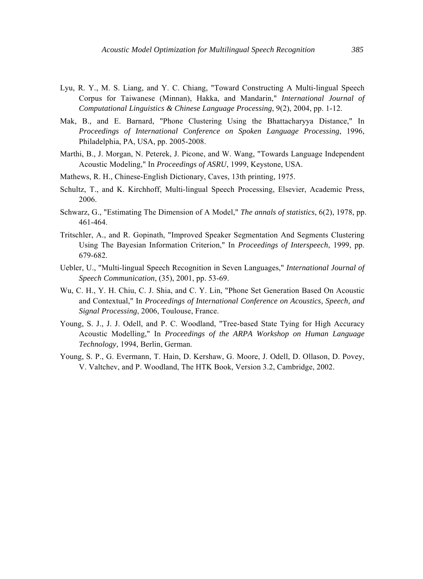- Lyu, R. Y., M. S. Liang, and Y. C. Chiang, "Toward Constructing A Multi-lingual Speech Corpus for Taiwanese (Minnan), Hakka, and Mandarin," *International Journal of Computational Linguistics & Chinese Language Processing*, 9(2), 2004, pp. 1-12.
- Mak, B., and E. Barnard, "Phone Clustering Using the Bhattacharyya Distance," In *Proceedings of International Conference on Spoken Language Processing*, 1996, Philadelphia, PA, USA, pp. 2005-2008.
- Marthi, B., J. Morgan, N. Peterek, J. Picone, and W. Wang, "Towards Language Independent Acoustic Modeling," In *Proceedings of ASRU*, 1999, Keystone, USA.
- Mathews, R. H., Chinese-English Dictionary, Caves, 13th printing, 1975.
- Schultz, T., and K. Kirchhoff, Multi-lingual Speech Processing, Elsevier, Academic Press, 2006.
- Schwarz, G., "Estimating The Dimension of A Model," *The annals of statistics*, 6(2), 1978, pp. 461-464.
- Tritschler, A., and R. Gopinath, "Improved Speaker Segmentation And Segments Clustering Using The Bayesian Information Criterion," In *Proceedings of Interspeech*, 1999, pp. 679-682.
- Uebler, U., "Multi-lingual Speech Recognition in Seven Languages," *International Journal of Speech Communication*, (35), 2001, pp. 53-69.
- Wu, C. H., Y. H. Chiu, C. J. Shia, and C. Y. Lin, "Phone Set Generation Based On Acoustic and Contextual," In *Proceedings of International Conference on Acoustics, Speech, and Signal Processing*, 2006, Toulouse, France.
- Young, S. J., J. J. Odell, and P. C. Woodland, "Tree-based State Tying for High Accuracy Acoustic Modelling," In *Proceedings of the ARPA Workshop on Human Language Technology*, 1994, Berlin, German.
- Young, S. P., G. Evermann, T. Hain, D. Kershaw, G. Moore, J. Odell, D. Ollason, D. Povey, V. Valtchev, and P. Woodland, The HTK Book, Version 3.2, Cambridge, 2002.